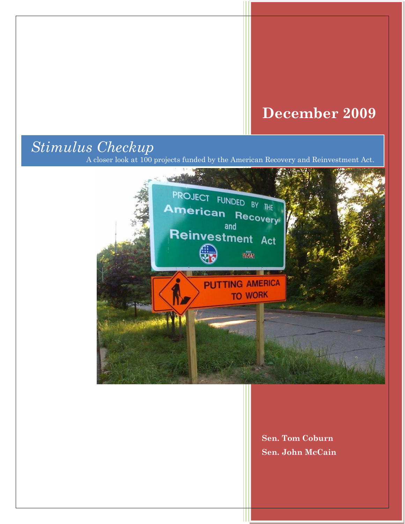## **December 2009**

# *Stimulus Checkup*

A closer look at 100 projects funded by the American Recovery and Reinvestment Act.



**Sen. Tom Coburn Sen. John McCain**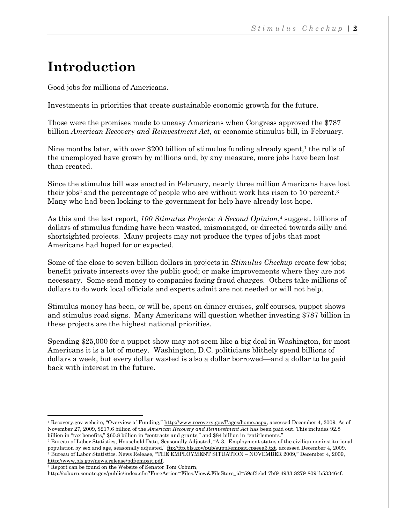### **Introduction**

Good jobs for millions of Americans.

Investments in priorities that create sustainable economic growth for the future.

Those were the promises made to uneasy Americans when Congress approved the \$787 billion *American Recovery and Reinvestment Act*, or economic stimulus bill, in February.

Nine months later, with over \$200 billion of stimulus funding already spent, $<sup>1</sup>$  the rolls of</sup> the unemployed have grown by millions and, by any measure, more jobs have been lost than created.

Since the stimulus bill was enacted in February, nearly three million Americans have lost their jobs<sup>2</sup> and the percentage of people who are without work has risen to 10 percent.<sup>3</sup> Many who had been looking to the government for help have already lost hope.

As this and the last report, *100 Stimulus Projects: A Second Opinion*, <sup>4</sup> suggest, billions of dollars of stimulus funding have been wasted, mismanaged, or directed towards silly and shortsighted projects. Many projects may not produce the types of jobs that most Americans had hoped for or expected.

Some of the close to seven billion dollars in projects in *Stimulus Checkup* create few jobs; benefit private interests over the public good; or make improvements where they are not necessary. Some send money to companies facing fraud charges. Others take millions of dollars to do work local officials and experts admit are not needed or will not help.

Stimulus money has been, or will be, spent on dinner cruises, golf courses, puppet shows and stimulus road signs. Many Americans will question whether investing \$787 billion in these projects are the highest national priorities.

Spending \$25,000 for a puppet show may not seem like a big deal in Washington, for most Americans it is a lot of money. Washington, D.C. politicians blithely spend billions of dollars a week, but every dollar wasted is also a dollar borrowed—and a dollar to be paid back with interest in the future.

<sup>4</sup> Report can be found on the Website of Senator Tom Coburn,

 $\overline{\phantom{a}}$ 

[http://coburn.senate.gov/public/index.cfm?FuseAction=Files.View&FileStore\\_id=59af3ebd-7bf9-4933-8279-8091b533464f.](http://coburn.senate.gov/public/index.cfm?FuseAction=Files.View&FileStore_id=59af3ebd-7bf9-4933-8279-8091b533464f) 

<sup>&</sup>lt;sup>1</sup> Recovery.gov website, "Overview of Funding," [http://www.recovery.gov/Pages/home.aspx,](http://www.recovery.gov/Pages/home.aspx) accessed December 4, 2009; As of November 27, 2009, \$217.6 billion of the *American Recovery and Reinvestment Act* has been paid out. This includes 92.8 billion in "tax benefits," \$60.8 billion in "contracts and grants," and \$84 billion in "entitlements."

<sup>&</sup>lt;sup>2</sup> Bureau of Labor Statistics, Household Data, Seasonally Adjusted, "A-3. Employment status of the civilian noninstitutional population by sex and age, seasonally adjusted," [ftp://ftp.bls.gov/pub/suppl/empsit.cpseea3.txt,](ftp://ftp.bls.gov/pub/suppl/empsit.cpseea3.txt) accessed December 4, 2009.  $3$  Bureau of Labor Statistics, News Release, "THE EMPLOYMENT SITUATION – NOVEMBER 2009," December 4, 2009, [http://www.bls.gov/news.release/pdf/empsit.pdf.](http://www.bls.gov/news.release/pdf/empsit.pdf)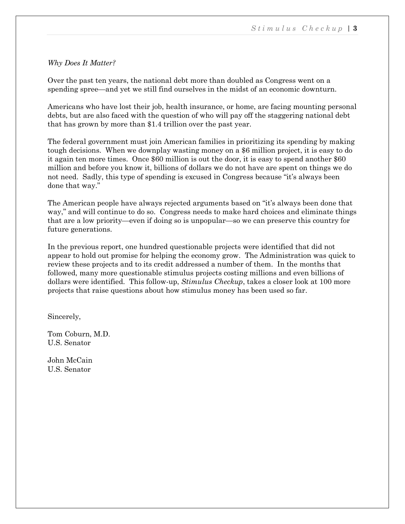#### *Why Does It Matter?*

Over the past ten years, the national debt more than doubled as Congress went on a spending spree—and yet we still find ourselves in the midst of an economic downturn.

Americans who have lost their job, health insurance, or home, are facing mounting personal debts, but are also faced with the question of who will pay off the staggering national debt that has grown by more than \$1.4 trillion over the past year.

The federal government must join American families in prioritizing its spending by making tough decisions. When we downplay wasting money on a \$6 million project, it is easy to do it again ten more times. Once \$60 million is out the door, it is easy to spend another \$60 million and before you know it, billions of dollars we do not have are spent on things we do not need. Sadly, this type of spending is excused in Congress because "it's always been done that way."

The American people have always rejected arguments based on "it's always been done that way," and will continue to do so. Congress needs to make hard choices and eliminate things that are a low priority—even if doing so is unpopular—so we can preserve this country for future generations.

In the previous report, one hundred questionable projects were identified that did not appear to hold out promise for helping the economy grow. The Administration was quick to review these projects and to its credit addressed a number of them. In the months that followed, many more questionable stimulus projects costing millions and even billions of dollars were identified. This follow-up, *Stimulus Checkup*, takes a closer look at 100 more projects that raise questions about how stimulus money has been used so far.

Sincerely,

Tom Coburn, M.D. U.S. Senator

John McCain U.S. Senator